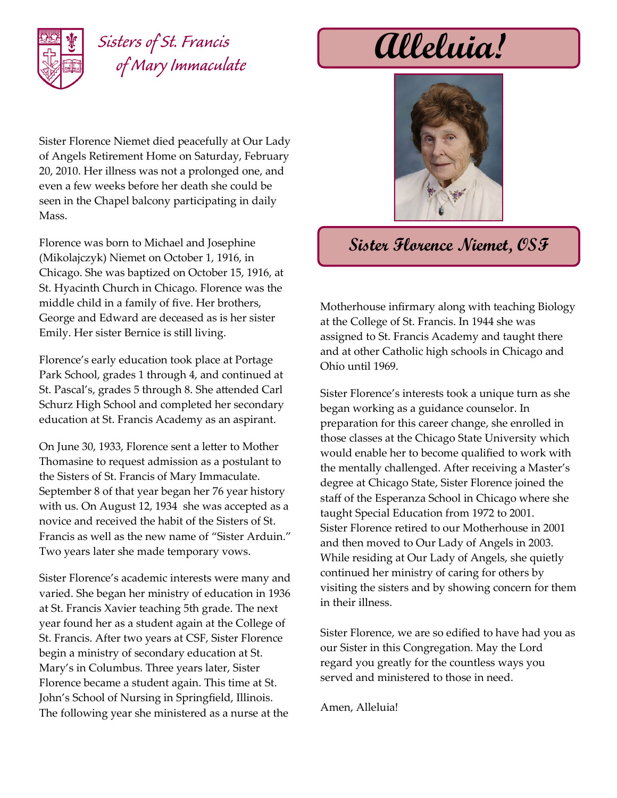

## *Sisters of St. Francis of Mary Immaculate*

Sister Florence Niemet died peacefully at Our Lady of Angels Retirement Home on Saturday, February 20, 2010. Her illness was not a prolonged one, and even a few weeks before her death she could be seen in the Chapel balcony participating in daily Mass.

Florence was born to Michael and Josephine (Mikolajczyk) Niemet on October 1, 1916, in Chicago. She was baptized on October 15, 1916, at St. Hyacinth Church in Chicago. Florence was the middle child in a family of five. Her brothers, George and Edward are deceased as is her sister Emily. Her sister Bernice is still living.

Florence's early education took place at Portage Park School, grades 1 through 4, and continued at St. Pascal's, grades 5 through 8. She attended Carl Schurz High School and completed her secondary education at St. Francis Academy as an aspirant.

On June 30, 1933, Florence sent a letter to Mother Thomasine to request admission as a postulant to the Sisters of St. Francis of Mary Immaculate. September 8 of that year began her 76 year history with us. On August 12, 1934 she was accepted as a novice and received the habit of the Sisters of St. Francis as well as the new name of "Sister Arduin." Two years later she made temporary vows.

Sister Florence's academic interests were many and varied. She began her ministry of education in 1936 at St. Francis Xavier teaching 5th grade. The next year found her as a student again at the College of St. Francis. After two years at CSF, Sister Florence begin a ministry of secondary education at St. Mary's in Columbus. Three years later, Sister Florence became a student again. This time at St. John's School of Nursing in Springfield, Illinois. The following year she ministered as a nurse at the

**Alleluia!**



## **Sister Florence Niemet, OSF**

Motherhouse infirmary along with teaching Biology at the College of St. Francis. In 1944 she was assigned to St. Francis Academy and taught there and at other Catholic high schools in Chicago and Ohio until 1969.

Sister Florence's interests took a unique turn as she began working as a guidance counselor. In preparation for this career change, she enrolled in those classes at the Chicago State University which would enable her to become qualified to work with the mentally challenged. After receiving a Master's degree at Chicago State, Sister Florence joined the staff of the Esperanza School in Chicago where she taught Special Education from 1972 to 2001. Sister Florence retired to our Motherhouse in 2001 and then moved to Our Lady of Angels in 2003. While residing at Our Lady of Angels, she quietly continued her ministry of caring for others by visiting the sisters and by showing concern for them in their illness.

Sister Florence, we are so edified to have had you as our Sister in this Congregation. May the Lord regard you greatly for the countless ways you served and ministered to those in need.

Amen, Alleluia!